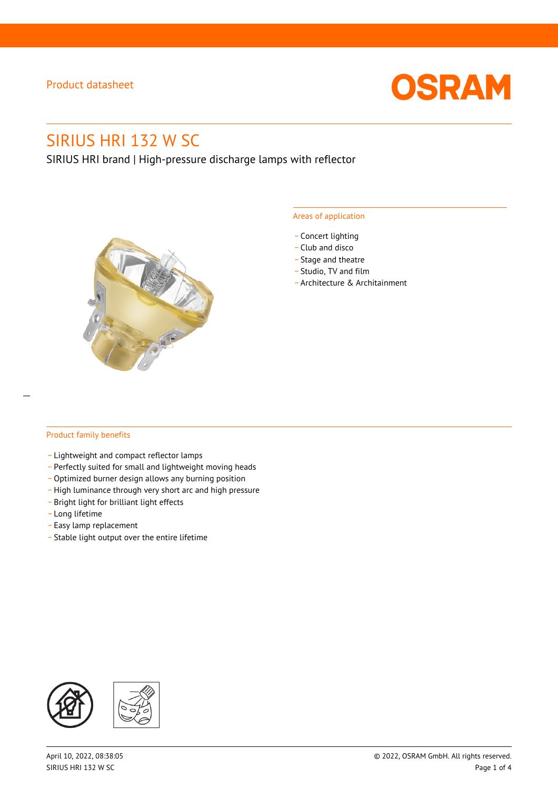

# SIRIUS HRI 132 W SC

SIRIUS HRI brand | High-pressure discharge lamps with reflector



#### Areas of application

- Concert lighting
- \_ Club and disco
- Stage and theatre
- \_ Studio, TV and film
- \_ Architecture & Architainment

#### Product family benefits

- \_ Lightweight and compact reflector lamps
- \_ Perfectly suited for small and lightweight moving heads
- Optimized burner design allows any burning position
- High luminance through very short arc and high pressure
- \_ Bright light for brilliant light effects
- \_ Long lifetime
- \_ Easy lamp replacement
- \_ Stable light output over the entire lifetime

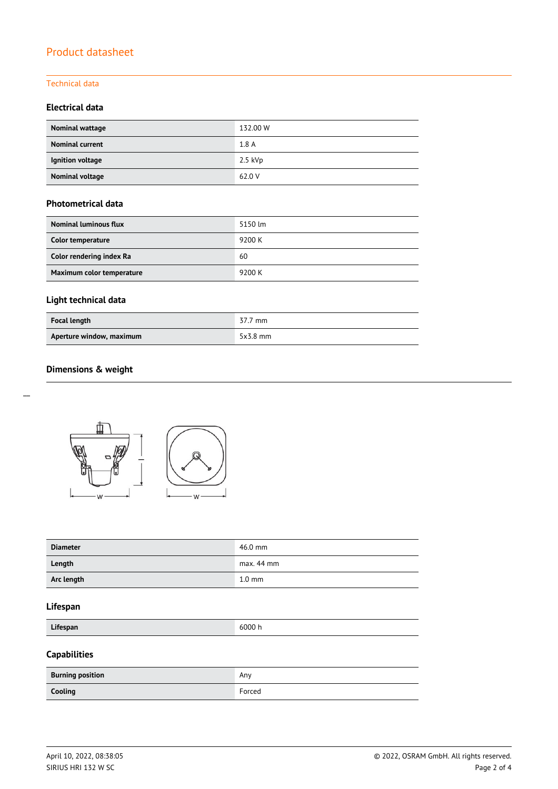#### Technical data

#### **Electrical data**

| Nominal wattage        | 132.00 W  |
|------------------------|-----------|
| <b>Nominal current</b> | 1.8A      |
| Ignition voltage       | $2.5$ kVp |
| Nominal voltage        | 62.0 V    |

#### **Photometrical data**

| Nominal luminous flux     | 5150 lm |
|---------------------------|---------|
| Color temperature         | 9200 K  |
| Color rendering index Ra  | 60      |
| Maximum color temperature | 9200 K  |

## **Light technical data**

| <b>Focal length</b>      | 37.7 mm    |
|--------------------------|------------|
| Aperture window, maximum | $5x3.8$ mm |

### **Dimensions & weight**



| <b>Diameter</b> | 46.0 mm          |
|-----------------|------------------|
| Length          | $max. 44$ mm     |
| Arc length      | $1.0 \text{ mm}$ |

#### **Lifespan**

**Lifespan** 6000 h

## **Capabilities**

| <b>Burning position</b> | Any    |
|-------------------------|--------|
| Cooling                 | Forced |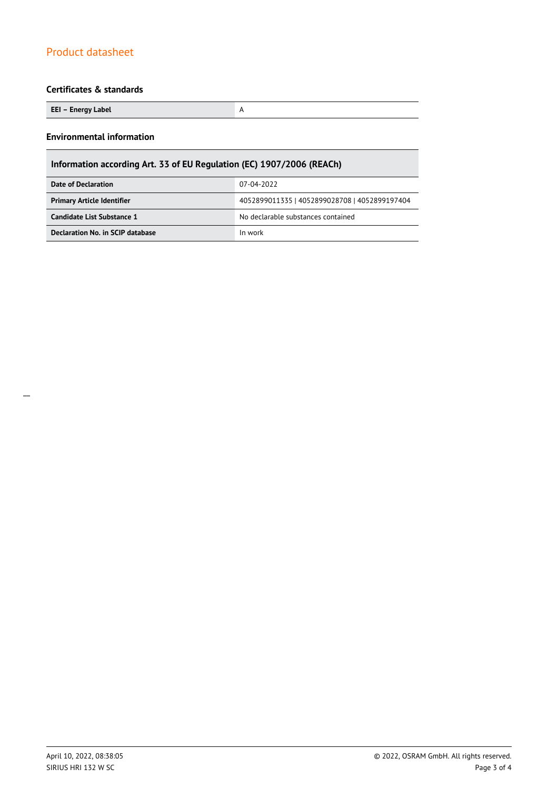#### **Certificates & standards**

**EEI – Energy Label** A

#### **Environmental information**

## **Information according Art. 33 of EU Regulation (EC) 1907/2006 (REACh)**

| Date of Declaration               | 07-04-2022                                    |  |
|-----------------------------------|-----------------------------------------------|--|
| <b>Primary Article Identifier</b> | 4052899011335   4052899028708   4052899197404 |  |
| Candidate List Substance 1        | No declarable substances contained            |  |
| Declaration No. in SCIP database  | In work                                       |  |